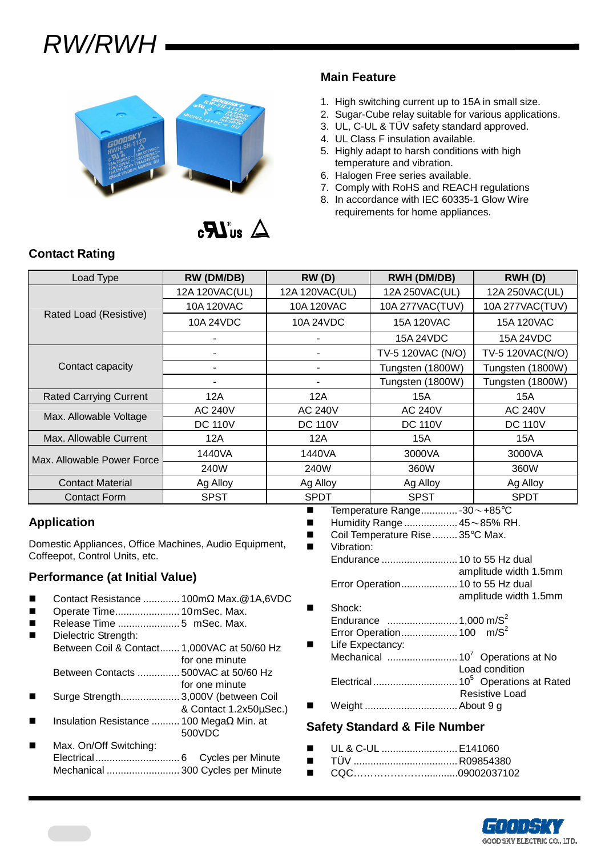# RW/RWH



 $\Delta$  and  $\boldsymbol{R}$ .

### **Main Feature**

- 1. High switching current up to 15A in small size.
- 2. Sugar-Cube relay suitable for various applications.
- 3. UL, C-UL & TÜV safety standard approved.
- 4. UL Class F insulation available.
- 5. Highly adapt to harsh conditions with high temperature and vibration.
- 6. Halogen Free series available.
- 7. Comply with RoHS and REACH regulations
- 8. In accordance with IEC 60335-1 Glow Wire requirements for home appliances.

### **Contact Rating**

| Load Type                     | RW (DM/DB)               | RW(D)          | <b>RWH (DM/DB)</b> | RWH(D)           |  |
|-------------------------------|--------------------------|----------------|--------------------|------------------|--|
|                               | 12A 120VAC(UL)           | 12A 120VAC(UL) | 12A 250VAC(UL)     | 12A 250VAC(UL)   |  |
|                               | 10A 120VAC               | 10A 120VAC     | 10A 277VAC(TUV)    | 10A 277VAC(TUV)  |  |
| Rated Load (Resistive)        | 10A 24VDC                | 10A 24VDC      | 15A 120VAC         | 15A 120VAC       |  |
|                               | $\overline{\phantom{0}}$ | -              | 15A 24VDC          | 15A 24VDC        |  |
|                               | ۰                        | ٠              | TV-5 120VAC (N/O)  | TV-5 120VAC(N/O) |  |
| Contact capacity              |                          |                | Tungsten (1800W)   | Tungsten (1800W) |  |
|                               |                          |                | Tungsten (1800W)   | Tungsten (1800W) |  |
| <b>Rated Carrying Current</b> | 12A                      | 12A            | 15A                | 15A              |  |
| Max. Allowable Voltage        | <b>AC 240V</b>           | <b>AC 240V</b> | <b>AC 240V</b>     | <b>AC 240V</b>   |  |
|                               | <b>DC 110V</b>           | <b>DC 110V</b> | <b>DC 110V</b>     | <b>DC 110V</b>   |  |
| Max. Allowable Current        | 12A                      | 12A            | 15A                | 15A              |  |
| Max. Allowable Power Force    | 1440VA                   | 1440VA         | 3000VA             | 3000VA           |  |
|                               | 240W                     | 240W           | 360W               | 360W             |  |
| <b>Contact Material</b>       | Ag Alloy                 | Ag Alloy       | Ag Alloy           | Ag Alloy         |  |
| <b>Contact Form</b>           | <b>SPST</b>              | <b>SPDT</b>    | <b>SPST</b>        | <b>SPDT</b>      |  |

### **Application**

Domestic Appliances, Office Machines, Audio Equipment, Coffeepot, Control Units, etc.

#### **Performance (at Initial Value)**

- Contact Resistance ............. 100mΩ Max.@1A,6VDC
- Operate Time....................... 10 mSec. Max.
- Release Time ...................... 5 mSec. Max.
	- Dielectric Strength: Between Coil & Contact....... 1,000VAC at 50/60 Hz for one minute
- Between Contacts ............... 500VAC at 50/60 Hz
- for one minute Surge Strength..................... 3,000V (between Coil
- & Contact 1.2x50µSec.)
- Insulation Resistance .......... 100 MegaΩ Min. at 500VDC
- Max. On/Off Switching: Electrical.............................. 6 Cycles per Minute Mechanical .......................... 300 Cycles per Minute
- Temperature Range............. -30~+85°C
- Humidity Range ................... 45~85% RH.
- Coil Temperature Rise......... 35°C Max. **No. 3** Vibration: Endurance ........................... 10 to 55 Hz dual amplitude width 1.5mm Error Operation.................... 10 to 55 Hz dual amplitude width 1.5mm Shock: Endurance ......................... 1,000 m/S<sup>2</sup> Error Operation.................... 100 m/S<sup>2</sup> Life Expectancy: Mechanical ......................... 10<sup>7</sup>Operations at No Load condition Electrical .............................. 10<sup>5</sup>Operations at Rated
- Weight ................................. About 9 g

#### **Safety Standard & File Number**

- UL & C-UL ........................... E141060
- TÜV ..................................... R09854380
- CQC…………………………09002037102



Resistive Load